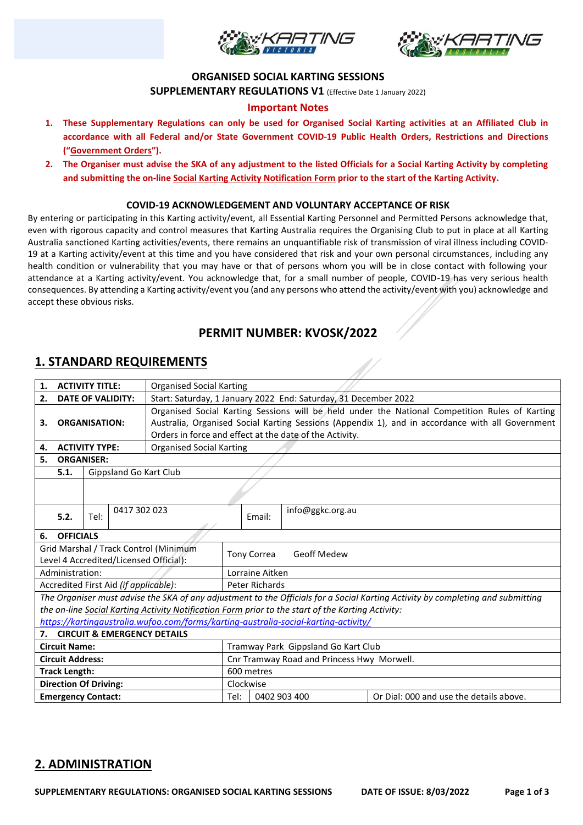



#### **ORGANISED SOCIAL KARTING SESSIONS**

**SUPPLEMENTARY REGULATIONS V1** (Effective Date 1 January 2022)

#### **Important Notes**

- **1. These Supplementary Regulations can only be used for Organised Social Karting activities at an Affiliated Club in accordance with all Federal and/or State Government COVID-19 Public Health Orders, Restrictions and Directions ("Government Orders").**
- **2. The Organiser must advise the SKA of any adjustment to the listed Officials for a Social Karting Activity by completing and submitting the on-line Social Karting Activity Notification Form prior to the start of the Karting Activity.**

#### **COVID-19 ACKNOWLEDGEMENT AND VOLUNTARY ACCEPTANCE OF RISK**

By entering or participating in this Karting activity/event, all Essential Karting Personnel and Permitted Persons acknowledge that, even with rigorous capacity and control measures that Karting Australia requires the Organising Club to put in place at all Karting Australia sanctioned Karting activities/events, there remains an unquantifiable risk of transmission of viral illness including COVID-19 at a Karting activity/event at this time and you have considered that risk and your own personal circumstances, including any health condition or vulnerability that you may have or that of persons whom you will be in close contact with following your attendance at a Karting activity/event. You acknowledge that, for a small number of people, COVID-19 has very serious health consequences. By attending a Karting activity/event you (and any persons who attend the activity/event with you) acknowledge and accept these obvious risks.

## **PERMIT NUMBER: KVOSK/2022**

### **1. STANDARD REQUIREMENTS**

| <b>ACTIVITY TITLE:</b><br>1.           |                                                                                                                                 |      |              | <b>Organised Social Karting</b>                                                                  |                                                                                                |                                     |                    |                                         |  |
|----------------------------------------|---------------------------------------------------------------------------------------------------------------------------------|------|--------------|--------------------------------------------------------------------------------------------------|------------------------------------------------------------------------------------------------|-------------------------------------|--------------------|-----------------------------------------|--|
| 2.<br><b>DATE OF VALIDITY:</b>         |                                                                                                                                 |      |              | Start: Saturday, 1 January 2022 End: Saturday, 31 December 2022                                  |                                                                                                |                                     |                    |                                         |  |
|                                        |                                                                                                                                 |      |              |                                                                                                  | Organised Social Karting Sessions will be held under the National Competition Rules of Karting |                                     |                    |                                         |  |
| З.                                     | <b>ORGANISATION:</b>                                                                                                            |      |              | Australia, Organised Social Karting Sessions (Appendix 1), and in accordance with all Government |                                                                                                |                                     |                    |                                         |  |
|                                        |                                                                                                                                 |      |              | Orders in force and effect at the date of the Activity.                                          |                                                                                                |                                     |                    |                                         |  |
| <b>ACTIVITY TYPE:</b><br>4.            |                                                                                                                                 |      |              | <b>Organised Social Karting</b>                                                                  |                                                                                                |                                     |                    |                                         |  |
| 5.<br><b>ORGANISER:</b>                |                                                                                                                                 |      |              |                                                                                                  |                                                                                                |                                     |                    |                                         |  |
|                                        | 5.1.<br>Gippsland Go Kart Club                                                                                                  |      |              |                                                                                                  |                                                                                                |                                     |                    |                                         |  |
|                                        |                                                                                                                                 |      |              |                                                                                                  |                                                                                                |                                     |                    |                                         |  |
|                                        |                                                                                                                                 |      |              |                                                                                                  |                                                                                                |                                     |                    |                                         |  |
|                                        |                                                                                                                                 |      | 0417 302 023 |                                                                                                  |                                                                                                |                                     | info@ggkc.org.au   |                                         |  |
|                                        | 5.2.                                                                                                                            | Tel: |              |                                                                                                  |                                                                                                | Email:                              |                    |                                         |  |
| 6.                                     | <b>OFFICIALS</b>                                                                                                                |      |              |                                                                                                  |                                                                                                |                                     |                    |                                         |  |
|                                        |                                                                                                                                 |      |              | Grid Marshal / Track Control (Minimum                                                            |                                                                                                |                                     | <b>Geoff Medew</b> |                                         |  |
| Level 4 Accredited/Licensed Official): |                                                                                                                                 |      |              |                                                                                                  |                                                                                                | <b>Tony Correa</b>                  |                    |                                         |  |
| Administration:                        |                                                                                                                                 |      |              |                                                                                                  |                                                                                                | Lorraine Aitken                     |                    |                                         |  |
| Accredited First Aid (if applicable):  |                                                                                                                                 |      |              |                                                                                                  | Peter Richards                                                                                 |                                     |                    |                                         |  |
|                                        | The Organiser must advise the SKA of any adjustment to the Officials for a Social Karting Activity by completing and submitting |      |              |                                                                                                  |                                                                                                |                                     |                    |                                         |  |
|                                        | the on-line Social Karting Activity Notification Form prior to the start of the Karting Activity:                               |      |              |                                                                                                  |                                                                                                |                                     |                    |                                         |  |
|                                        | https://kartingaustralia.wufoo.com/forms/karting-australia-social-karting-activity/                                             |      |              |                                                                                                  |                                                                                                |                                     |                    |                                         |  |
|                                        | <b>CIRCUIT &amp; EMERGENCY DETAILS</b><br>7.                                                                                    |      |              |                                                                                                  |                                                                                                |                                     |                    |                                         |  |
| <b>Circuit Name:</b>                   |                                                                                                                                 |      |              |                                                                                                  |                                                                                                | Tramway Park Gippsland Go Kart Club |                    |                                         |  |
| <b>Circuit Address:</b>                |                                                                                                                                 |      |              |                                                                                                  | Cnr Tramway Road and Princess Hwy Morwell.                                                     |                                     |                    |                                         |  |
| <b>Track Length:</b>                   |                                                                                                                                 |      |              |                                                                                                  | 600 metres                                                                                     |                                     |                    |                                         |  |
| <b>Direction Of Driving:</b>           |                                                                                                                                 |      |              |                                                                                                  | Clockwise                                                                                      |                                     |                    |                                         |  |
| <b>Emergency Contact:</b>              |                                                                                                                                 |      |              |                                                                                                  | Tel:                                                                                           |                                     | 0402 903 400       | Or Dial: 000 and use the details above. |  |

## **2. ADMINISTRATION**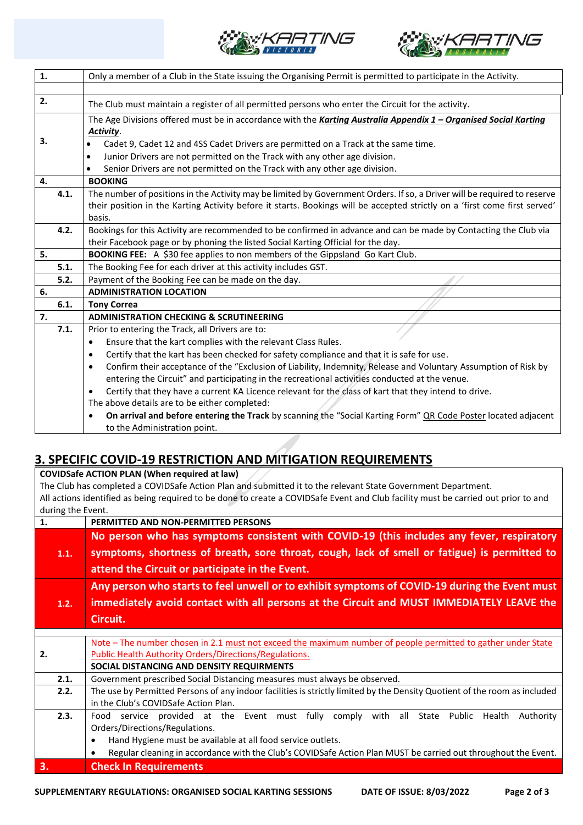



| 1.   | Only a member of a Club in the State issuing the Organising Permit is permitted to participate in the Activity.              |
|------|------------------------------------------------------------------------------------------------------------------------------|
|      |                                                                                                                              |
| 2.   | The Club must maintain a register of all permitted persons who enter the Circuit for the activity.                           |
|      | The Age Divisions offered must be in accordance with the Karting Australia Appendix 1 - Organised Social Karting             |
|      | <b>Activity.</b>                                                                                                             |
| 3.   | Cadet 9, Cadet 12 and 4SS Cadet Drivers are permitted on a Track at the same time.                                           |
|      | Junior Drivers are not permitted on the Track with any other age division.<br>$\bullet$                                      |
|      | Senior Drivers are not permitted on the Track with any other age division.<br>٠                                              |
| 4.   | <b>BOOKING</b>                                                                                                               |
| 4.1. | The number of positions in the Activity may be limited by Government Orders. If so, a Driver will be required to reserve     |
|      | their position in the Karting Activity before it starts. Bookings will be accepted strictly on a 'first come first served'   |
|      | basis.                                                                                                                       |
| 4.2. | Bookings for this Activity are recommended to be confirmed in advance and can be made by Contacting the Club via             |
|      | their Facebook page or by phoning the listed Social Karting Official for the day.                                            |
| 5.   | BOOKING FEE: A \$30 fee applies to non members of the Gippsland Go Kart Club.                                                |
| 5.1. | The Booking Fee for each driver at this activity includes GST.                                                               |
| 5.2. | Payment of the Booking Fee can be made on the day.                                                                           |
| 6.   | <b>ADMINISTRATION LOCATION</b>                                                                                               |
| 6.1. | <b>Tony Correa</b>                                                                                                           |
| 7.   | <b>ADMINISTRATION CHECKING &amp; SCRUTINEERING</b>                                                                           |
| 7.1. | Prior to entering the Track, all Drivers are to:                                                                             |
|      | Ensure that the kart complies with the relevant Class Rules.<br>$\bullet$                                                    |
|      | Certify that the kart has been checked for safety compliance and that it is safe for use.<br>$\bullet$                       |
|      | Confirm their acceptance of the "Exclusion of Liability, Indemnity, Release and Voluntary Assumption of Risk by<br>$\bullet$ |
|      | entering the Circuit" and participating in the recreational activities conducted at the venue.                               |
|      | Certify that they have a current KA Licence relevant for the class of kart that they intend to drive.<br>$\bullet$           |
|      | The above details are to be either completed:                                                                                |
|      | On arrival and before entering the Track by scanning the "Social Karting Form" OR Code Poster located adjacent               |
|      | to the Administration point.                                                                                                 |

## **3. SPECIFIC COVID-19 RESTRICTION AND MITIGATION REQUIREMENTS**

**COVIDSafe ACTION PLAN (When required at law)** The Club has completed a COVIDSafe Action Plan and submitted it to the relevant State Government Department. All actions identified as being required to be done to create a COVIDSafe Event and Club facility must be carried out prior to and during the Event. **1. PERMITTED AND NON-PERMITTED PERSONS**

|      | PERIVILLED AND NON-PERIVILLED PERSONS                                                                                     |
|------|---------------------------------------------------------------------------------------------------------------------------|
|      | No person who has symptoms consistent with COVID-19 (this includes any fever, respiratory                                 |
| 1.1. | symptoms, shortness of breath, sore throat, cough, lack of smell or fatigue) is permitted to                              |
|      | attend the Circuit or participate in the Event.                                                                           |
|      | Any person who starts to feel unwell or to exhibit symptoms of COVID-19 during the Event must                             |
| 1.2. | immediately avoid contact with all persons at the Circuit and MUST IMMEDIATELY LEAVE the                                  |
|      | Circuit.                                                                                                                  |
|      |                                                                                                                           |
|      | Note – The number chosen in 2.1 must not exceed the maximum number of people permitted to gather under State              |
| 2.   | <b>Public Health Authority Orders/Directions/Regulations.</b>                                                             |
|      | SOCIAL DISTANCING AND DENSITY REQUIRMENTS                                                                                 |
| 2.1. | Government prescribed Social Distancing measures must always be observed.                                                 |
| 2.2. | The use by Permitted Persons of any indoor facilities is strictly limited by the Density Quotient of the room as included |
|      | in the Club's COVIDSafe Action Plan.                                                                                      |
| 2.3. | Food service provided at the Event must fully comply with all State Public Health<br>Authority                            |
|      | Orders/Directions/Regulations.                                                                                            |
|      | Hand Hygiene must be available at all food service outlets.<br>٠                                                          |
|      | Regular cleaning in accordance with the Club's COVIDSafe Action Plan MUST be carried out throughout the Event.            |
| 3.   | <b>Check In Requirements</b>                                                                                              |